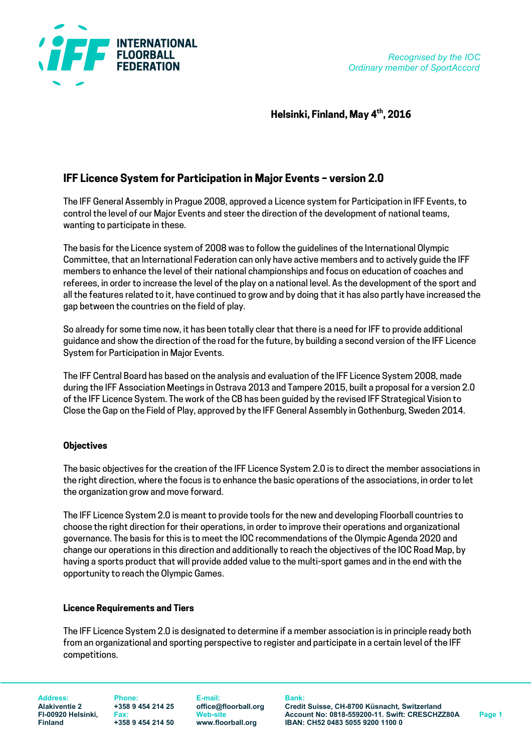

Helsinki, Finland, May 4<sup>th</sup>, 2016

# IFF Licence System for Participation in Major Events – version 2.0

The IFF General Assembly in Prague 2008, approved a Licence system for Participation in IFF Events, to control the level of our Major Events and steer the direction of the development of national teams, wanting to participate in these.

The basis for the Licence system of 2008 was to follow the guidelines of the International Olympic Committee, that an International Federation can only have active members and to actively guide the IFF members to enhance the level of their national championships and focus on education of coaches and referees, in order to increase the level of the play on a national level. As the development of the sport and all the features related to it, have continued to grow and by doing that it has also partly have increased the gap between the countries on the field of play.

So already for some time now, it has been totally clear that there is a need for IFF to provide additional guidance and show the direction of the road for the future, by building a second version of the IFF Licence System for Participation in Major Events.

The IFF Central Board has based on the analysis and evaluation of the IFF Licence System 2008, made during the IFF Association Meetings in Ostrava 2013 and Tampere 2015, built a proposal for a version 2.0 of the IFF Licence System. The work of the CB has been guided by the revised IFF Strategical Vision to Close the Gap on the Field of Play, approved by the IFF General Assembly in Gothenburg, Sweden 2014.

# **Objectives**

The basic objectives for the creation of the IFF Licence System 2.0 is to direct the member associations in the right direction, where the focus is to enhance the basic operations of the associations, in order to let the organization grow and move forward.

The IFF Licence System 2.0 is meant to provide tools for the new and developing Floorball countries to choose the right direction for their operations, in order to improve their operations and organizational governance. The basis for this is to meet the IOC recommendations of the Olympic Agenda 2020 and change our operations in this direction and additionally to reach the objectives of the IOC Road Map, by having a sports product that will provide added value to the multi-sport games and in the end with the opportunity to reach the Olympic Games.

# Licence Requirements and Tiers

The IFF Licence System 2.0 is designated to determine if a member association is in principle ready both from an organizational and sporting perspective to register and participate in a certain level of the IFF competitions.

Address: Phone: E-mail: Bank:

Alakiventie 2 +358 9 454 214 25 office@floorball.org Credit Suisse, CH-8700 Küsnacht, Switzerland FI-00920 Helsinki, Fax: Web-site Account No: 0818-559200-11. Swift: CRESCHZZ80A Page 1<br>Finland +358 9 454 214 50 www.floorball.org IBAN: CH52 0483 5055 9200 1100 0 Finland +358 9 454 214 50 www.floorball.org IBAN: CH52 0483 5055 9200 1100 0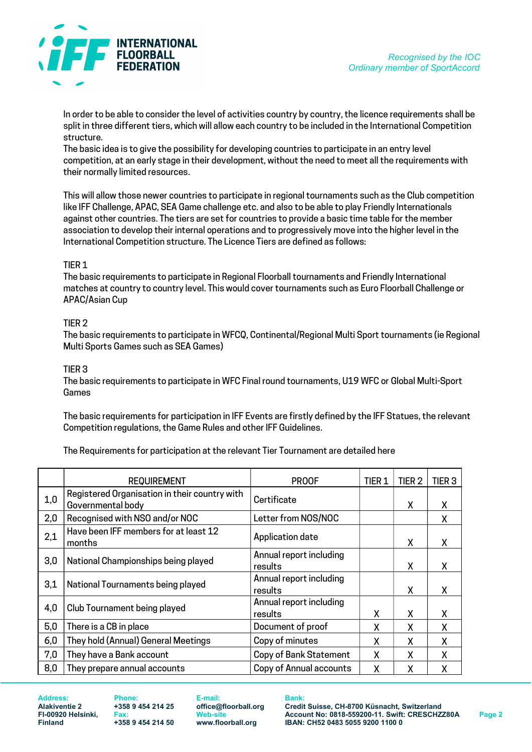

In order to be able to consider the level of activities country by country, the licence requirements shall be split in three different tiers, which will allow each country to be included in the International Competition structure.

The basic idea is to give the possibility for developing countries to participate in an entry level competition, at an early stage in their development, without the need to meet all the requirements with their normally limited resources.

This will allow those newer countries to participate in regional tournaments such as the Club competition like IFF Challenge, APAC, SEA Game challenge etc. and also to be able to play Friendly Internationals against other countries. The tiers are set for countries to provide a basic time table for the member association to develop their internal operations and to progressively move into the higher level in the International Competition structure. The Licence Tiers are defined as follows:

## TIER 1

The basic requirements to participate in Regional Floorball tournaments and Friendly International matches at country to country level. This would cover tournaments such as Euro Floorball Challenge or APAC/Asian Cup

# TIER 2

The basic requirements to participate in WFCQ, Continental/Regional Multi Sport tournaments (ie Regional Multi Sports Games such as SEA Games)

## TIER 3

The basic requirements to participate in WFC Final round tournaments, U19 WFC or Global Multi-Sport Games

The basic requirements for participation in IFF Events are firstly defined by the IFF Statues, the relevant Competition regulations, the Game Rules and other IFF Guidelines.

The Requirements for participation at the relevant Tier Tournament are detailed here

|     | <b>REQUIREMENT</b>                                                 | <b>PROOF</b>                       | TIER <sub>1</sub> | TIER <sub>2</sub> | TIER <sub>3</sub> |
|-----|--------------------------------------------------------------------|------------------------------------|-------------------|-------------------|-------------------|
| 1,0 | Registered Organisation in their country with<br>Governmental body | Certificate                        |                   | X                 | х                 |
| 2,0 | Recognised with NSO and/or NOC                                     | Letter from NOS/NOC                |                   |                   | Χ                 |
| 2,1 | Have been IFF members for at least 12<br>months                    | Application date                   |                   | X                 | x                 |
| 3,0 | National Championships being played                                | Annual report including<br>results |                   | X                 | X                 |
| 3,1 | National Tournaments being played                                  | Annual report including<br>results |                   | χ                 | x                 |
| 4,0 | Club Tournament being played                                       | Annual report including<br>results | χ                 | χ                 | X                 |
| 5,0 | There is a CB in place                                             | Document of proof                  | χ                 | X                 | Χ                 |
| 6,0 | They hold (Annual) General Meetings                                | Copy of minutes                    | χ                 | X                 | X                 |
| 7,0 | They have a Bank account                                           | Copy of Bank Statement             | χ                 | χ                 | χ                 |
| 8,0 | They prepare annual accounts                                       | Copy of Annual accounts            | χ                 | χ                 | χ                 |

Address: Phone: E-mail: Bank:

Alakiventie 2 +358 9 454 214 25 office@floorball.org Credit Suisse, CH-8700 Küsnacht, Switzerland FI-00920 Helsinki, Fax: Web-site Account No: 0818-559200-11. Swift: CRESCHZZ80A Page 2<br>Finland +358 9 454 214 50 www.floorball.org IBAN: CH52 0483 5055 9200 1100 0 Finland +358 9 454 214 50 www.floorball.org IBAN: CH52 0483 5055 9200 1100 0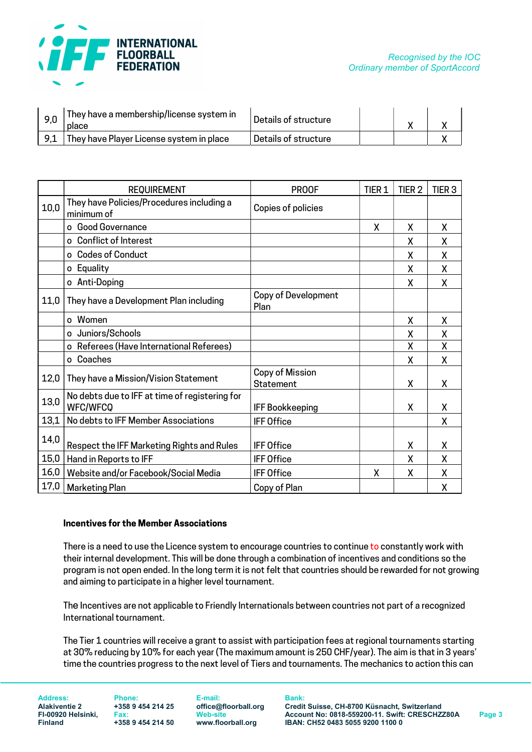

| -9,0 | They have a membership/license system in<br>place | Details of structure |  |  |
|------|---------------------------------------------------|----------------------|--|--|
|      | They have Player License system in place          | Details of structure |  |  |

|      | <b>REQUIREMENT</b>                                                | <b>PROOF</b>                       | TIER <sub>1</sub> | TIER <sub>2</sub> | TIER <sub>3</sub> |
|------|-------------------------------------------------------------------|------------------------------------|-------------------|-------------------|-------------------|
| 10,0 | They have Policies/Procedures including a<br>minimum of           | Copies of policies                 |                   |                   |                   |
|      | Good Governance                                                   |                                    | χ                 | X                 | X                 |
|      | o Conflict of Interest                                            |                                    |                   | X                 | X                 |
|      | o Codes of Conduct                                                |                                    |                   | χ                 | χ                 |
|      | Equality<br>0                                                     |                                    |                   | X                 | X                 |
|      | o Anti-Doping                                                     |                                    |                   | X                 | X                 |
| 11,0 | They have a Development Plan including                            | <b>Copy of Development</b><br>Plan |                   |                   |                   |
|      | o Women                                                           |                                    |                   | X                 | X                 |
|      | o Juniors/Schools                                                 |                                    |                   | X                 | X                 |
|      | o Referees (Have International Referees)                          |                                    |                   | χ                 | χ                 |
|      | Coaches<br>$\Omega$                                               |                                    |                   | X                 | χ                 |
| 12,0 | They have a Mission/Vision Statement                              | Copy of Mission<br>Statement       |                   | χ                 | X                 |
| 13,0 | No debts due to IFF at time of registering for<br><b>WFC/WFCQ</b> | <b>IFF Bookkeeping</b>             |                   | χ                 | χ                 |
| 13,1 | No debts to IFF Member Associations                               | <b>IFF Office</b>                  |                   |                   | X                 |
| 14,0 | Respect the IFF Marketing Rights and Rules                        | <b>IFF Office</b>                  |                   | χ                 | Χ                 |
| 15,0 | Hand in Reports to IFF                                            | <b>IFF Office</b>                  |                   | X                 | X                 |
| 16,0 | Website and/or Facebook/Social Media                              | <b>IFF Office</b>                  | X                 | χ                 | Χ                 |
| 17,0 | <b>Marketing Plan</b>                                             | Copy of Plan                       |                   |                   | Χ                 |

#### Incentives for the Member Associations

There is a need to use the Licence system to encourage countries to continue to constantly work with their internal development. This will be done through a combination of incentives and conditions so the program is not open ended. In the long term it is not felt that countries should be rewarded for not growing and aiming to participate in a higher level tournament.

The Incentives are not applicable to Friendly Internationals between countries not part of a recognized International tournament.

The Tier 1 countries will receive a grant to assist with participation fees at regional tournaments starting at 30% reducing by 10% for each year (The maximum amount is 250 CHF/year). The aim is that in 3 years' time the countries progress to the next level of Tiers and tournaments. The mechanics to action this can

Address: Phone: E-mail: Bank:

Alakiventie 2 +358 9 454 214 25 office@floorball.org Credit Suisse, CH-8700 Küsnacht, Switzerland<br>FI-00920 Helsinki, Fax: Web-site Account No: 0818-559200-11. Swift: CRESCHZ FI-00920 Helsinki, Fax: Web-site Account No: 0818-559200-11. Swift: CRESCHZZ80A Page 3<br>Finland +358 9 454 214 50 www.floorball.org IBAN: CH52 0483 5055 9200 1100 0 IBAN: CH52 0483 5055 9200 1100 0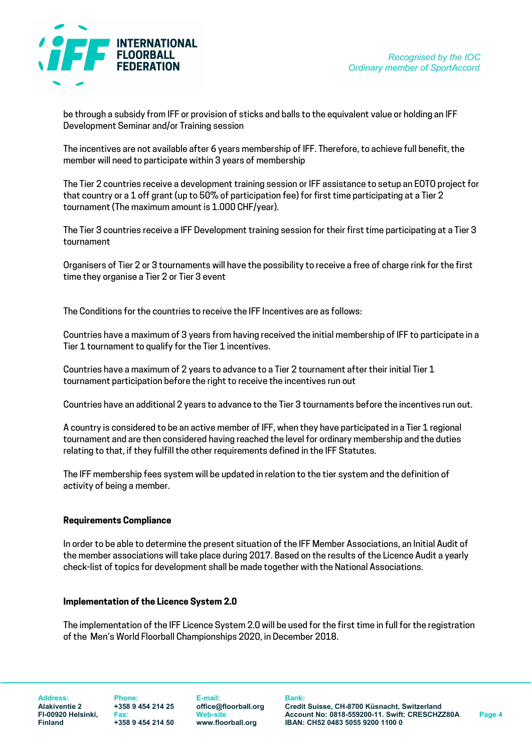

be through a subsidy from IFF or provision of sticks and balls to the equivalent value or holding an IFF Development Seminar and/or Training session

The incentives are not available after 6 years membership of IFF. Therefore, to achieve full benefit, the member will need to participate within 3 years of membership

The Tier 2 countries receive a development training session or IFF assistance to setup an EOTO project for that country or a 1 off grant (up to 50% of participation fee) for first time participating at a Tier 2 tournament (The maximum amount is 1.000 CHF/year).

The Tier 3 countries receive a IFF Development training session for their first time participating at a Tier 3 tournament

Organisers of Tier 2 or 3 tournaments will have the possibility to receive a free of charge rink for the first time they organise a Tier 2 or Tier 3 event

The Conditions for the countries to receive the IFF Incentives are as follows:

Countries have a maximum of 3 years from having received the initial membership of IFF to participate in a Tier 1 tournament to qualify for the Tier 1 incentives.

Countries have a maximum of 2 years to advance to a Tier 2 tournament after their initial Tier 1 tournament participation before the right to receive the incentives run out

Countries have an additional 2 years to advance to the Tier 3 tournaments before the incentives run out.

A country is considered to be an active member of IFF, when they have participated in a Tier 1 regional tournament and are then considered having reached the level for ordinary membership and the duties relating to that, if they fulfill the other requirements defined in the IFF Statutes.

The IFF membership fees system will be updated in relation to the tier system and the definition of activity of being a member.

#### Requirements Compliance

In order to be able to determine the present situation of the IFF Member Associations, an Initial Audit of the member associations will take place during 2017. Based on the results of the Licence Audit a yearly check-list of topics for development shall be made together with the National Associations.

#### Implementation of the Licence System 2.0

The implementation of the IFF Licence System 2.0 will be used for the first time in full for the registration of the Men's World Floorball Championships 2020, in December 2018.

Address: Phone: E-mail: Bank:

Alakiventie 2 +358 9 454 214 25 office@floorball.org Credit Suisse, CH-8700 Küsnacht, Switzerland FI-00920 Helsinki, Fax: Web-site Account No: 0818-559200-11. Swift: CRESCHZZ80A Page 4<br>Finland +358 9 454 214 50 www.floorball.org IBAN: CH52 0483 5055 9200 1100 0 Finland +358 9 454 214 50 www.floorball.org IBAN: CH52 0483 5055 9200 1100 0